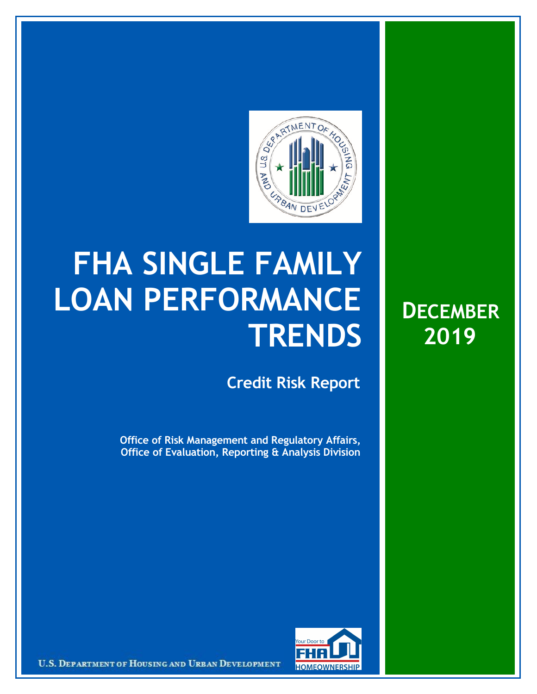

## **FHA SINGLE FAMILY LOAN PERFORMANCE TRENDS**

**Credit Risk Report**

**Office of Risk Management and Regulatory Affairs, Office of Evaluation, Reporting & Analysis Division**





U.S. DEPARTMENT OF HOUSING AND URBAN DEVELOPMENT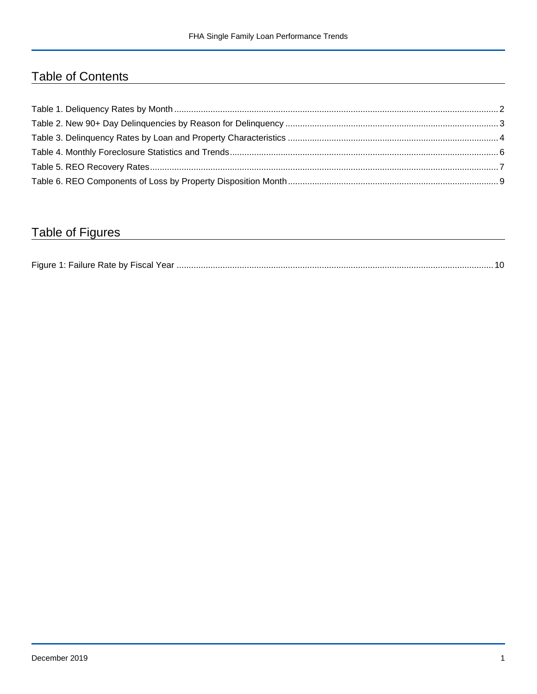## Table of Contents

## Table of Figures

| Figure 1 |  |
|----------|--|
|----------|--|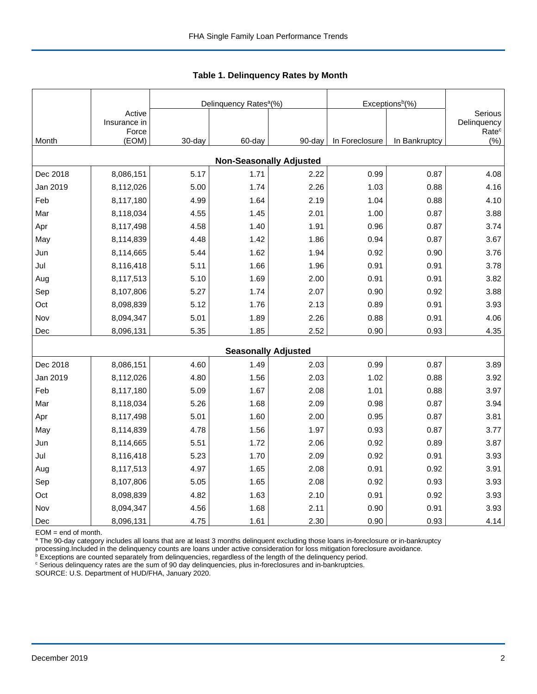|          |                        |        | Delinquency Rates <sup>a</sup> (%) |        | Exceptions <sup>b</sup> (%) |               |                          |
|----------|------------------------|--------|------------------------------------|--------|-----------------------------|---------------|--------------------------|
|          | Active<br>Insurance in |        |                                    |        |                             |               | Serious<br>Delinquency   |
| Month    | Force<br>(EOM)         | 30-day | 60-day                             | 90-day | In Foreclosure              | In Bankruptcy | Rate <sup>c</sup><br>(%) |
|          |                        |        | <b>Non-Seasonally Adjusted</b>     |        |                             |               |                          |
| Dec 2018 | 8,086,151              | 5.17   | 1.71                               | 2.22   | 0.99                        | 0.87          | 4.08                     |
| Jan 2019 | 8,112,026              | 5.00   | 1.74                               | 2.26   | 1.03                        | 0.88          | 4.16                     |
| Feb      | 8,117,180              | 4.99   | 1.64                               | 2.19   | 1.04                        | 0.88          | 4.10                     |
| Mar      | 8,118,034              | 4.55   | 1.45                               | 2.01   | 1.00                        | 0.87          | 3.88                     |
| Apr      | 8,117,498              | 4.58   | 1.40                               | 1.91   | 0.96                        | 0.87          | 3.74                     |
| May      | 8,114,839              | 4.48   | 1.42                               | 1.86   | 0.94                        | 0.87          | 3.67                     |
| Jun      | 8,114,665              | 5.44   | 1.62                               | 1.94   | 0.92                        | 0.90          | 3.76                     |
| Jul      | 8,116,418              | 5.11   | 1.66                               | 1.96   | 0.91                        | 0.91          | 3.78                     |
| Aug      | 8,117,513              | 5.10   | 1.69                               | 2.00   | 0.91                        | 0.91          | 3.82                     |
| Sep      | 8,107,806              | 5.27   | 1.74                               | 2.07   | 0.90                        | 0.92          | 3.88                     |
| Oct      | 8,098,839              | 5.12   | 1.76                               | 2.13   | 0.89                        | 0.91          | 3.93                     |
| Nov      | 8,094,347              | 5.01   | 1.89                               | 2.26   | 0.88                        | 0.91          | 4.06                     |
| Dec      | 8,096,131              | 5.35   | 1.85                               | 2.52   | 0.90                        | 0.93          | 4.35                     |
|          |                        |        | <b>Seasonally Adjusted</b>         |        |                             |               |                          |
| Dec 2018 | 8,086,151              | 4.60   | 1.49                               | 2.03   | 0.99                        | 0.87          | 3.89                     |
| Jan 2019 | 8,112,026              | 4.80   | 1.56                               | 2.03   | 1.02                        | 0.88          | 3.92                     |
| Feb      | 8,117,180              | 5.09   | 1.67                               | 2.08   | 1.01                        | 0.88          | 3.97                     |
| Mar      | 8,118,034              | 5.26   | 1.68                               | 2.09   | 0.98                        | 0.87          | 3.94                     |
| Apr      | 8,117,498              | 5.01   | 1.60                               | 2.00   | 0.95                        | 0.87          | 3.81                     |
| May      | 8,114,839              | 4.78   | 1.56                               | 1.97   | 0.93                        | 0.87          | 3.77                     |
| Jun      | 8,114,665              | 5.51   | 1.72                               | 2.06   | 0.92                        | 0.89          | 3.87                     |
| Jul      | 8,116,418              | 5.23   | 1.70                               | 2.09   | 0.92                        | 0.91          | 3.93                     |
| Aug      | 8,117,513              | 4.97   | 1.65                               | 2.08   | 0.91                        | 0.92          | 3.91                     |
| Sep      | 8,107,806              | 5.05   | 1.65                               | 2.08   | 0.92                        | 0.93          | 3.93                     |
| Oct      | 8,098,839              | 4.82   | 1.63                               | 2.10   | 0.91                        | 0.92          | 3.93                     |
| Nov      | 8,094,347              | 4.56   | 1.68                               | 2.11   | 0.90                        | 0.91          | 3.93                     |
| Dec      | 8,096,131              | 4.75   | 1.61                               | 2.30   | 0.90                        | 0.93          | 4.14                     |

 **Table 1. Delinquency Rates by Month**

EOM = end of month.

<sup>a</sup> The 90-day category includes all loans that are at least 3 months delinquent excluding those loans in-foreclosure or in-bankruptcy

processing.Included in the delinquency counts are loans under active consideration for loss mitigation foreclosure avoidance.<br><sup>b</sup> Exceptions are counted separately from delinquencies, regardless of the length of the delinq

<sup>c</sup> Serious delinquency rates are the sum of 90 day delinquencies, plus in-foreclosures and in-bankruptcies.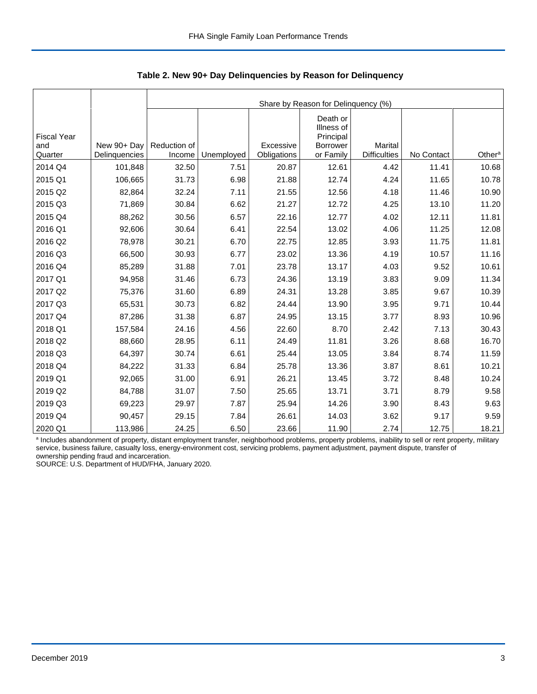|                    |               | Share by Reason for Delinquency (%) |            |             |                         |                     |            |                    |  |  |  |
|--------------------|---------------|-------------------------------------|------------|-------------|-------------------------|---------------------|------------|--------------------|--|--|--|
|                    |               |                                     |            |             |                         |                     |            |                    |  |  |  |
|                    |               |                                     |            |             | Death or                |                     |            |                    |  |  |  |
| <b>Fiscal Year</b> |               |                                     |            |             | Illness of<br>Principal |                     |            |                    |  |  |  |
| and                | New 90+ Day   | Reduction of                        |            | Excessive   | <b>Borrower</b>         | Marital             |            |                    |  |  |  |
| Quarter            | Delinquencies | Income                              | Unemployed | Obligations | or Family               | <b>Difficulties</b> | No Contact | Other <sup>a</sup> |  |  |  |
| 2014 Q4            | 101,848       | 32.50                               | 7.51       | 20.87       | 12.61                   | 4.42                | 11.41      | 10.68              |  |  |  |
| 2015 Q1            | 106,665       | 31.73                               | 6.98       | 21.88       | 12.74                   | 4.24                | 11.65      | 10.78              |  |  |  |
| 2015 Q2            | 82,864        | 32.24                               | 7.11       | 21.55       | 12.56                   | 4.18                | 11.46      | 10.90              |  |  |  |
| 2015 Q3            | 71,869        | 30.84                               | 6.62       | 21.27       | 12.72                   | 4.25                | 13.10      | 11.20              |  |  |  |
| 2015 Q4            | 88,262        | 30.56                               | 6.57       | 22.16       | 12.77                   | 4.02                | 12.11      | 11.81              |  |  |  |
| 2016 Q1            | 92,606        | 30.64                               | 6.41       | 22.54       | 13.02                   | 4.06                | 11.25      | 12.08              |  |  |  |
| 2016 Q2            | 78,978        | 30.21                               | 6.70       | 22.75       | 12.85                   | 3.93                | 11.75      | 11.81              |  |  |  |
| 2016 Q3            | 66,500        | 30.93                               | 6.77       | 23.02       | 13.36                   | 4.19                | 10.57      | 11.16              |  |  |  |
| 2016 Q4            | 85,289        | 31.88                               | 7.01       | 23.78       | 13.17                   | 4.03                | 9.52       | 10.61              |  |  |  |
| 2017 Q1            | 94,958        | 31.46                               | 6.73       | 24.36       | 13.19                   | 3.83                | 9.09       | 11.34              |  |  |  |
| 2017 Q2            | 75,376        | 31.60                               | 6.89       | 24.31       | 13.28                   | 3.85                | 9.67       | 10.39              |  |  |  |
| 2017 Q3            | 65,531        | 30.73                               | 6.82       | 24.44       | 13.90                   | 3.95                | 9.71       | 10.44              |  |  |  |
| 2017 Q4            | 87,286        | 31.38                               | 6.87       | 24.95       | 13.15                   | 3.77                | 8.93       | 10.96              |  |  |  |
| 2018 Q1            | 157,584       | 24.16                               | 4.56       | 22.60       | 8.70                    | 2.42                | 7.13       | 30.43              |  |  |  |
| 2018 Q2            | 88,660        | 28.95                               | 6.11       | 24.49       | 11.81                   | 3.26                | 8.68       | 16.70              |  |  |  |
| 2018 Q3            | 64,397        | 30.74                               | 6.61       | 25.44       | 13.05                   | 3.84                | 8.74       | 11.59              |  |  |  |
| 2018 Q4            | 84,222        | 31.33                               | 6.84       | 25.78       | 13.36                   | 3.87                | 8.61       | 10.21              |  |  |  |
| 2019 Q1            | 92,065        | 31.00                               | 6.91       | 26.21       | 13.45                   | 3.72                | 8.48       | 10.24              |  |  |  |
| 2019 Q2            | 84,788        | 31.07                               | 7.50       | 25.65       | 13.71                   | 3.71                | 8.79       | 9.58               |  |  |  |
| 2019 Q3            | 69,223        | 29.97                               | 7.87       | 25.94       | 14.26                   | 3.90                | 8.43       | 9.63               |  |  |  |
| 2019 Q4            | 90,457        | 29.15                               | 7.84       | 26.61       | 14.03                   | 3.62                | 9.17       | 9.59               |  |  |  |
| 2020 Q1            | 113,986       | 24.25                               | 6.50       | 23.66       | 11.90                   | 2.74                | 12.75      | 18.21              |  |  |  |

 **Table 2. New 90+ Day Delinquencies by Reason for Delinquency**

a Includes abandonment of property, distant employment transfer, neighborhood problems, property problems, inability to sell or rent property, military service, business failure, casualty loss, energy-environment cost, servicing problems, payment adjustment, payment dispute, transfer of ownership pending fraud and incarceration.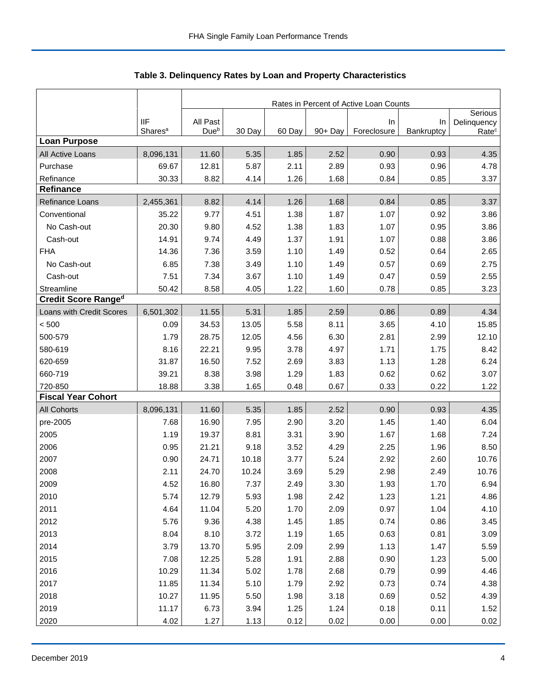|                            |                     | Rates in Percent of Active Loan Counts |        |        |         |             |            |                        |  |
|----------------------------|---------------------|----------------------------------------|--------|--------|---------|-------------|------------|------------------------|--|
|                            | <b>IIF</b>          | All Past                               |        |        |         | In          | In         | Serious<br>Delinquency |  |
|                            | Shares <sup>a</sup> | Dueb                                   | 30 Day | 60 Day | 90+ Day | Foreclosure | Bankruptcy | Rate <sup>c</sup>      |  |
| <b>Loan Purpose</b>        |                     |                                        |        |        |         |             |            |                        |  |
| All Active Loans           | 8,096,131           | 11.60                                  | 5.35   | 1.85   | 2.52    | 0.90        | 0.93       | 4.35                   |  |
| Purchase                   | 69.67               | 12.81                                  | 5.87   | 2.11   | 2.89    | 0.93        | 0.96       | 4.78                   |  |
| Refinance                  | 30.33               | 8.82                                   | 4.14   | 1.26   | 1.68    | 0.84        | 0.85       | 3.37                   |  |
| Refinance                  |                     |                                        |        |        |         |             |            |                        |  |
| Refinance Loans            | 2,455,361           | 8.82                                   | 4.14   | 1.26   | 1.68    | 0.84        | 0.85       | 3.37                   |  |
| Conventional               | 35.22               | 9.77                                   | 4.51   | 1.38   | 1.87    | 1.07        | 0.92       | 3.86                   |  |
| No Cash-out                | 20.30               | 9.80                                   | 4.52   | 1.38   | 1.83    | 1.07        | 0.95       | 3.86                   |  |
| Cash-out                   | 14.91               | 9.74                                   | 4.49   | 1.37   | 1.91    | 1.07        | 0.88       | 3.86                   |  |
| <b>FHA</b>                 | 14.36               | 7.36                                   | 3.59   | 1.10   | 1.49    | 0.52        | 0.64       | 2.65                   |  |
| No Cash-out                | 6.85                | 7.38                                   | 3.49   | 1.10   | 1.49    | 0.57        | 0.69       | 2.75                   |  |
| Cash-out                   | 7.51                | 7.34                                   | 3.67   | 1.10   | 1.49    | 0.47        | 0.59       | 2.55                   |  |
| Streamline                 | 50.42               | 8.58                                   | 4.05   | 1.22   | 1.60    | 0.78        | 0.85       | 3.23                   |  |
| <b>Credit Score Ranged</b> |                     |                                        |        |        |         |             |            |                        |  |
| Loans with Credit Scores   | 6,501,302           | 11.55                                  | 5.31   | 1.85   | 2.59    | 0.86        | 0.89       | 4.34                   |  |
| < 500                      | 0.09                | 34.53                                  | 13.05  | 5.58   | 8.11    | 3.65        | 4.10       | 15.85                  |  |
| 500-579                    | 1.79                | 28.75                                  | 12.05  | 4.56   | 6.30    | 2.81        | 2.99       | 12.10                  |  |
| 580-619                    | 8.16                | 22.21                                  | 9.95   | 3.78   | 4.97    | 1.71        | 1.75       | 8.42                   |  |
| 620-659                    | 31.87               | 16.50                                  | 7.52   | 2.69   | 3.83    | 1.13        | 1.28       | 6.24                   |  |
| 660-719                    | 39.21               | 8.38                                   | 3.98   | 1.29   | 1.83    | 0.62        | 0.62       | 3.07                   |  |
| 720-850                    | 18.88               | 3.38                                   | 1.65   | 0.48   | 0.67    | 0.33        | 0.22       | 1.22                   |  |
| <b>Fiscal Year Cohort</b>  |                     |                                        |        |        |         |             |            |                        |  |
| <b>All Cohorts</b>         | 8,096,131           | 11.60                                  | 5.35   | 1.85   | 2.52    | 0.90        | 0.93       | 4.35                   |  |
| pre-2005                   | 7.68                | 16.90                                  | 7.95   | 2.90   | 3.20    | 1.45        | 1.40       | 6.04                   |  |
| 2005                       | 1.19                | 19.37                                  | 8.81   | 3.31   | 3.90    | 1.67        | 1.68       | 7.24                   |  |
| 2006                       | 0.95                | 21.21                                  | 9.18   | 3.52   | 4.29    | 2.25        | 1.96       | 8.50                   |  |
| 2007                       | 0.90                | 24.71                                  | 10.18  | 3.77   | 5.24    | 2.92        | 2.60       | 10.76                  |  |
| 2008                       | 2.11                | 24.70                                  | 10.24  | 3.69   | 5.29    | 2.98        | 2.49       | 10.76                  |  |
| 2009                       | 4.52                | 16.80                                  | 7.37   | 2.49   | 3.30    | 1.93        | 1.70       | 6.94                   |  |
| 2010                       | 5.74                | 12.79                                  | 5.93   | 1.98   | 2.42    | 1.23        | 1.21       | 4.86                   |  |
| 2011                       | 4.64                | 11.04                                  | 5.20   | 1.70   | 2.09    | 0.97        | 1.04       | 4.10                   |  |
| 2012                       | 5.76                | 9.36                                   | 4.38   | 1.45   | 1.85    | 0.74        | 0.86       | 3.45                   |  |
| 2013                       | 8.04                | 8.10                                   | 3.72   | 1.19   | 1.65    | 0.63        | 0.81       | 3.09                   |  |
| 2014                       | 3.79                | 13.70                                  | 5.95   | 2.09   | 2.99    | 1.13        | 1.47       | 5.59                   |  |
| 2015                       | 7.08                | 12.25                                  | 5.28   | 1.91   | 2.88    | 0.90        | 1.23       | 5.00                   |  |
| 2016                       | 10.29               | 11.34                                  | 5.02   | 1.78   | 2.68    | 0.79        | 0.99       | 4.46                   |  |
| 2017                       | 11.85               | 11.34                                  | 5.10   | 1.79   | 2.92    | 0.73        | 0.74       | 4.38                   |  |
| 2018                       | 10.27               | 11.95                                  | 5.50   | 1.98   | 3.18    | 0.69        | 0.52       | 4.39                   |  |
| 2019                       | 11.17               | 6.73                                   | 3.94   | 1.25   | 1.24    | 0.18        | 0.11       | 1.52                   |  |
| 2020                       | 4.02                | 1.27                                   | 1.13   | 0.12   | 0.02    | 0.00        | 0.00       | 0.02                   |  |

**Table 3. Delinquency Rates by Loan and Property Characteristics**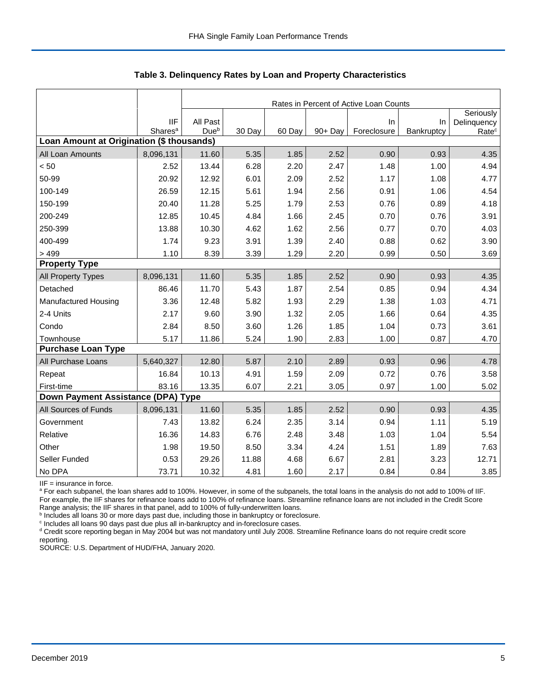|                                           |                                   |                              | Rates in Percent of Active Loan Counts |        |         |                   |                  |                                  |  |  |  |
|-------------------------------------------|-----------------------------------|------------------------------|----------------------------------------|--------|---------|-------------------|------------------|----------------------------------|--|--|--|
|                                           |                                   |                              |                                        |        |         |                   |                  | Seriously                        |  |  |  |
|                                           | <b>IIF</b><br>Shares <sup>a</sup> | All Past<br>Due <sup>b</sup> | 30 Day                                 | 60 Day | 90+ Day | In<br>Foreclosure | In<br>Bankruptcy | Delinquency<br>Rate <sup>c</sup> |  |  |  |
| Loan Amount at Origination (\$ thousands) |                                   |                              |                                        |        |         |                   |                  |                                  |  |  |  |
| All Loan Amounts                          | 8,096,131                         | 11.60                        | 5.35                                   | 1.85   | 2.52    | 0.90              | 0.93             | 4.35                             |  |  |  |
| < 50                                      | 2.52                              | 13.44                        | 6.28                                   | 2.20   | 2.47    | 1.48              | 1.00             | 4.94                             |  |  |  |
| 50-99                                     | 20.92                             | 12.92                        | 6.01                                   | 2.09   | 2.52    | 1.17              | 1.08             | 4.77                             |  |  |  |
| 100-149                                   | 26.59                             | 12.15                        | 5.61                                   | 1.94   | 2.56    | 0.91              | 1.06             | 4.54                             |  |  |  |
| 150-199                                   | 20.40                             | 11.28                        | 5.25                                   | 1.79   | 2.53    | 0.76              | 0.89             | 4.18                             |  |  |  |
| 200-249                                   | 12.85                             | 10.45                        | 4.84                                   | 1.66   | 2.45    | 0.70              | 0.76             | 3.91                             |  |  |  |
| 250-399                                   | 13.88                             | 10.30                        | 4.62                                   | 1.62   | 2.56    | 0.77              | 0.70             | 4.03                             |  |  |  |
| 400-499                                   | 1.74                              | 9.23                         | 3.91                                   | 1.39   | 2.40    | 0.88              | 0.62             | 3.90                             |  |  |  |
| >499                                      | 1.10                              | 8.39                         | 3.39                                   | 1.29   | 2.20    | 0.99              | 0.50             | 3.69                             |  |  |  |
| <b>Property Type</b>                      |                                   |                              |                                        |        |         |                   |                  |                                  |  |  |  |
| All Property Types                        | 8,096,131                         | 11.60                        | 5.35                                   | 1.85   | 2.52    | 0.90              | 0.93             | 4.35                             |  |  |  |
| Detached                                  | 86.46                             | 11.70                        | 5.43                                   | 1.87   | 2.54    | 0.85              | 0.94             | 4.34                             |  |  |  |
| <b>Manufactured Housing</b>               | 3.36                              | 12.48                        | 5.82                                   | 1.93   | 2.29    | 1.38              | 1.03             | 4.71                             |  |  |  |
| 2-4 Units                                 | 2.17                              | 9.60                         | 3.90                                   | 1.32   | 2.05    | 1.66              | 0.64             | 4.35                             |  |  |  |
| Condo                                     | 2.84                              | 8.50                         | 3.60                                   | 1.26   | 1.85    | 1.04              | 0.73             | 3.61                             |  |  |  |
| Townhouse                                 | 5.17                              | 11.86                        | 5.24                                   | 1.90   | 2.83    | 1.00              | 0.87             | 4.70                             |  |  |  |
| <b>Purchase Loan Type</b>                 |                                   |                              |                                        |        |         |                   |                  |                                  |  |  |  |
| All Purchase Loans                        | 5,640,327                         | 12.80                        | 5.87                                   | 2.10   | 2.89    | 0.93              | 0.96             | 4.78                             |  |  |  |
| Repeat                                    | 16.84                             | 10.13                        | 4.91                                   | 1.59   | 2.09    | 0.72              | 0.76             | 3.58                             |  |  |  |
| First-time                                | 83.16                             | 13.35                        | 6.07                                   | 2.21   | 3.05    | 0.97              | 1.00             | 5.02                             |  |  |  |
| Down Payment Assistance (DPA) Type        |                                   |                              |                                        |        |         |                   |                  |                                  |  |  |  |
| All Sources of Funds                      | 8,096,131                         | 11.60                        | 5.35                                   | 1.85   | 2.52    | 0.90              | 0.93             | 4.35                             |  |  |  |
| Government                                | 7.43                              | 13.82                        | 6.24                                   | 2.35   | 3.14    | 0.94              | 1.11             | 5.19                             |  |  |  |
| Relative                                  | 16.36                             | 14.83                        | 6.76                                   | 2.48   | 3.48    | 1.03              | 1.04             | 5.54                             |  |  |  |
| Other                                     | 1.98                              | 19.50                        | 8.50                                   | 3.34   | 4.24    | 1.51              | 1.89             | 7.63                             |  |  |  |
| Seller Funded                             | 0.53                              | 29.26                        | 11.88                                  | 4.68   | 6.67    | 2.81              | 3.23             | 12.71                            |  |  |  |
| No DPA                                    | 73.71                             | 10.32                        | 4.81                                   | 1.60   | 2.17    | 0.84              | 0.84             | 3.85                             |  |  |  |

 **Table 3. Delinquency Rates by Loan and Property Characteristics**

IIF = insurance in force.

<sup>a</sup> For each subpanel, the loan shares add to 100%. However, in some of the subpanels, the total loans in the analysis do not add to 100% of IIF. For example, the IIF shares for refinance loans add to 100% of refinance loans. Streamline refinance loans are not included in the Credit Score

Range analysis; the IIF shares in that panel, add to 100% of fully-underwritten loans.<br><sup>b</sup> Includes all loans 30 or more days past due, including those in bankruptcy or foreclosure.

<sup>c</sup> Includes all loans 90 days past due plus all in-bankruptcy and in-foreclosure cases.

<sup>d</sup> Credit score reporting began in May 2004 but was not mandatory until July 2008. Streamline Refinance loans do not require credit score reporting.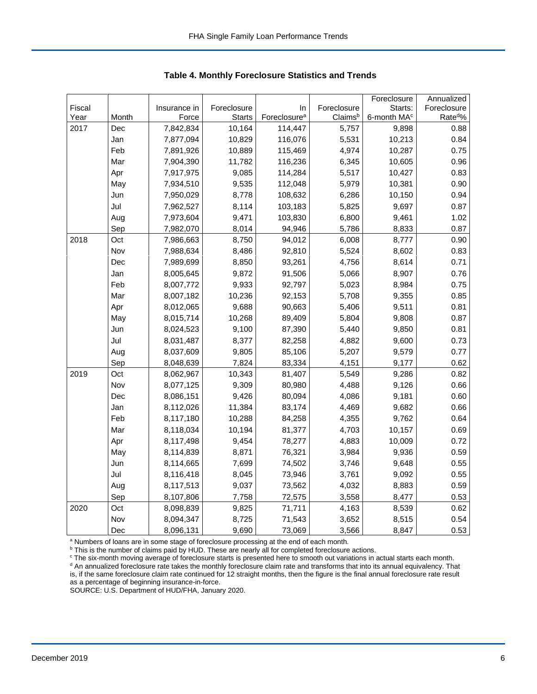|        |       |              |               |                          |             | Foreclosure             | Annualized           |
|--------|-------|--------------|---------------|--------------------------|-------------|-------------------------|----------------------|
| Fiscal |       | Insurance in | Foreclosure   | In                       | Foreclosure | Starts:                 | Foreclosure          |
| Year   | Month | Force        | <b>Starts</b> | Foreclosure <sup>a</sup> | Claimsb     | 6-month MA <sup>c</sup> | Rate <sup>do</sup> % |
| 2017   | Dec   | 7,842,834    | 10,164        | 114,447                  | 5,757       | 9,898                   | 0.88                 |
|        | Jan   | 7,877,094    | 10,829        | 116,076                  | 5,531       | 10,213                  | 0.84                 |
|        | Feb   | 7,891,926    | 10,889        | 115,469                  | 4,974       | 10,287                  | 0.75                 |
|        | Mar   | 7,904,390    | 11,782        | 116,236                  | 6,345       | 10,605                  | 0.96                 |
|        | Apr   | 7,917,975    | 9,085         | 114,284                  | 5,517       | 10,427                  | 0.83                 |
|        | May   | 7,934,510    | 9,535         | 112,048                  | 5,979       | 10,381                  | 0.90                 |
|        | Jun   | 7,950,029    | 8,778         | 108,632                  | 6,286       | 10,150                  | 0.94                 |
|        | Jul   | 7,962,527    | 8,114         | 103,183                  | 5,825       | 9,697                   | 0.87                 |
|        | Aug   | 7,973,604    | 9,471         | 103,830                  | 6,800       | 9,461                   | 1.02                 |
|        | Sep   | 7,982,070    | 8,014         | 94,946                   | 5,786       | 8,833                   | 0.87                 |
| 2018   | Oct   | 7,986,663    | 8,750         | 94,012                   | 6,008       | 8,777                   | 0.90                 |
|        | Nov   | 7,988,634    | 8,486         | 92,810                   | 5,524       | 8,602                   | 0.83                 |
|        | Dec   | 7,989,699    | 8,850         | 93,261                   | 4,756       | 8,614                   | 0.71                 |
|        | Jan   | 8,005,645    | 9,872         | 91,506                   | 5,066       | 8,907                   | 0.76                 |
|        | Feb   | 8,007,772    | 9,933         | 92,797                   | 5,023       | 8,984                   | 0.75                 |
|        | Mar   | 8,007,182    | 10,236        | 92,153                   | 5,708       | 9,355                   | 0.85                 |
|        | Apr   | 8,012,065    | 9,688         | 90,663                   | 5,406       | 9,511                   | 0.81                 |
|        | May   | 8,015,714    | 10,268        | 89,409                   | 5,804       | 9,808                   | 0.87                 |
|        | Jun   | 8,024,523    | 9,100         | 87,390                   | 5,440       | 9,850                   | 0.81                 |
|        | Jul   | 8,031,487    | 8,377         | 82,258                   | 4,882       | 9,600                   | 0.73                 |
|        | Aug   | 8,037,609    | 9,805         | 85,106                   | 5,207       | 9,579                   | 0.77                 |
|        | Sep   | 8,048,639    | 7,824         | 83,334                   | 4,151       | 9,177                   | 0.62                 |
| 2019   | Oct   | 8,062,967    | 10,343        | 81,407                   | 5,549       | 9,286                   | 0.82                 |
|        | Nov   | 8,077,125    | 9,309         | 80,980                   | 4,488       | 9,126                   | 0.66                 |
|        | Dec   | 8,086,151    | 9,426         | 80,094                   | 4,086       | 9,181                   | 0.60                 |
|        | Jan   | 8,112,026    | 11,384        | 83,174                   | 4,469       | 9,682                   | 0.66                 |
|        | Feb   | 8,117,180    | 10,288        | 84,258                   | 4,355       | 9,762                   | 0.64                 |
|        | Mar   | 8,118,034    | 10,194        | 81,377                   | 4,703       | 10,157                  | 0.69                 |
|        | Apr   | 8,117,498    | 9,454         | 78,277                   | 4,883       | 10,009                  | 0.72                 |
|        | May   | 8,114,839    | 8,871         | 76,321                   | 3,984       | 9,936                   | 0.59                 |
|        | Jun   | 8,114,665    | 7,699         | 74,502                   | 3,746       | 9,648                   | 0.55                 |
|        | Jul   | 8,116,418    | 8,045         | 73,946                   | 3,761       | 9,092                   | 0.55                 |
|        | Aug   | 8,117,513    | 9,037         | 73,562                   | 4,032       | 8,883                   | 0.59                 |
|        | Sep   | 8,107,806    | 7,758         | 72,575                   | 3,558       | 8,477                   | 0.53                 |
| 2020   | Oct   | 8,098,839    | 9,825         | 71,711                   | 4,163       | 8,539                   | 0.62                 |
|        | Nov   | 8,094,347    | 8,725         | 71,543                   | 3,652       | 8,515                   | 0.54                 |
|        | Dec   | 8,096,131    | 9,690         | 73,069                   | 3,566       | 8,847                   | 0.53                 |

 **Table 4. Monthly Foreclosure Statistics and Trends**

<sup>a</sup> Numbers of loans are in some stage of foreclosure processing at the end of each month.

<sup>b</sup> This is the number of claims paid by HUD. These are nearly all for completed foreclosure actions.

<sup>c</sup> The six-month moving average of foreclosure starts is presented here to smooth out variations in actual starts each month. <sup>d</sup> An annualized foreclosure rate takes the monthly foreclosure claim rate and transforms that into its annual equivalency. That is, if the same foreclosure claim rate continued for 12 straight months, then the figure is the final annual foreclosure rate result as a percentage of beginning insurance-in-force.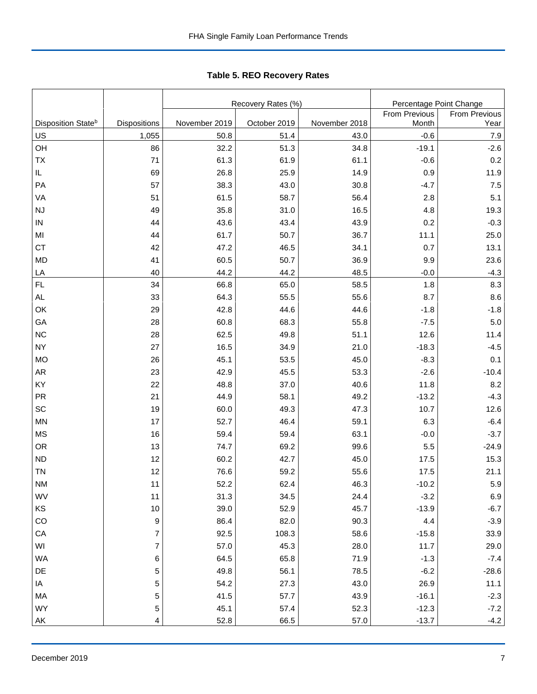Tabl e 5. REO R ecovery R ates **Table 5. REO Recovery Rates**

|                                |                         |               | Recovery Rates (%) | Percentage Point Change |               |                      |
|--------------------------------|-------------------------|---------------|--------------------|-------------------------|---------------|----------------------|
|                                |                         |               |                    |                         | From Previous | <b>From Previous</b> |
| Disposition State <sup>b</sup> | <b>Dispositions</b>     | November 2019 | October 2019       | November 2018           | Month         | Year                 |
| US                             | 1,055                   | 50.8          | 51.4               | 43.0                    | $-0.6$        | 7.9                  |
| OH                             | 86                      | 32.2          | 51.3               | 34.8                    | $-19.1$       | $-2.6$               |
| <b>ΤX</b>                      | 71                      | 61.3          | 61.9               | 61.1                    | $-0.6$        | 0.2                  |
| IL                             | 69                      | 26.8          | 25.9               | 14.9                    | 0.9           | 11.9                 |
| PA                             | 57                      | 38.3          | 43.0               | 30.8                    | $-4.7$        | 7.5                  |
| VA                             | 51                      | 61.5          | 58.7               | 56.4                    | 2.8           | 5.1                  |
| <b>NJ</b>                      | 49                      | 35.8          | 31.0               | 16.5                    | 4.8           | 19.3                 |
| ${\sf IN}$                     | 44                      | 43.6          | 43.4               | 43.9                    | 0.2           | $-0.3$               |
| MI                             | 44                      | 61.7          | 50.7               | 36.7                    | 11.1          | 25.0                 |
| <b>CT</b>                      | 42                      | 47.2          | 46.5               | 34.1                    | 0.7           | 13.1                 |
| <b>MD</b>                      | 41                      | 60.5          | 50.7               | 36.9                    | 9.9           | 23.6                 |
| LA                             | 40                      | 44.2          | 44.2               | 48.5                    | $-0.0$        | $-4.3$               |
| FL                             | 34                      | 66.8          | 65.0               | 58.5                    | 1.8           | 8.3                  |
| AL                             | 33                      | 64.3          | 55.5               | 55.6                    | 8.7           | 8.6                  |
| OK                             | 29                      | 42.8          | 44.6               | 44.6                    | $-1.8$        | $-1.8$               |
| GA                             | 28                      | 60.8          | 68.3               | 55.8                    | $-7.5$        | 5.0                  |
| NC                             | 28                      | 62.5          | 49.8               | 51.1                    | 12.6          | 11.4                 |
| <b>NY</b>                      | 27                      | 16.5          | 34.9               | 21.0                    | $-18.3$       | $-4.5$               |
| <b>MO</b>                      | 26                      | 45.1          | 53.5               | 45.0                    | $-8.3$        | 0.1                  |
| AR                             | 23                      | 42.9          | 45.5               | 53.3                    | $-2.6$        | $-10.4$              |
| KY                             | 22                      | 48.8          | 37.0               | 40.6                    | 11.8          | 8.2                  |
| PR                             | 21                      | 44.9          | 58.1               | 49.2                    | $-13.2$       | $-4.3$               |
| SC                             | 19                      | 60.0          | 49.3               | 47.3                    | 10.7          | 12.6                 |
| <b>MN</b>                      | 17                      | 52.7          | 46.4               | 59.1                    | 6.3           | $-6.4$               |
| <b>MS</b>                      | 16                      | 59.4          | 59.4               | 63.1                    | $-0.0$        | $-3.7$               |
| <b>OR</b>                      | 13                      | 74.7          | 69.2               | 99.6                    | 5.5           | $-24.9$              |
| <b>ND</b>                      | 12                      | 60.2          | 42.7               | 45.0                    | 17.5          | 15.3                 |
| <b>TN</b>                      | 12                      | 76.6          | 59.2               | 55.6                    | 17.5          | 21.1                 |
| <b>NM</b>                      | 11                      | 52.2          | 62.4               | 46.3                    | $-10.2$       | 5.9                  |
| WV                             | 11                      | 31.3          | 34.5               | 24.4                    | $-3.2$        | 6.9                  |
| KS                             | $10$                    | 39.0          | 52.9               | 45.7                    | $-13.9$       | $-6.7$               |
| CO                             | 9                       | 86.4          | 82.0               | 90.3                    | 4.4           | $-3.9$               |
| CA                             | $\overline{\mathbf{7}}$ | 92.5          | 108.3              | 58.6                    | $-15.8$       | 33.9                 |
| WI                             | $\boldsymbol{7}$        | 57.0          | 45.3               | 28.0                    | 11.7          | 29.0                 |
| <b>WA</b>                      | 6                       | 64.5          | 65.8               | 71.9                    | $-1.3$        | $-7.4$               |
| DE                             | 5                       | 49.8          | 56.1               | 78.5                    | $-6.2$        | $-28.6$              |
| IA                             | 5                       | 54.2          | 27.3               | 43.0                    | 26.9          | 11.1                 |
| MA                             | 5                       | 41.5          | 57.7               | 43.9                    | $-16.1$       | $-2.3$               |
| WY                             | 5                       | 45.1          | 57.4               | 52.3                    | $-12.3$       | $-7.2$               |
| AK                             | 4                       | 52.8          | 66.5               | 57.0                    | $-13.7$       | $-4.2$               |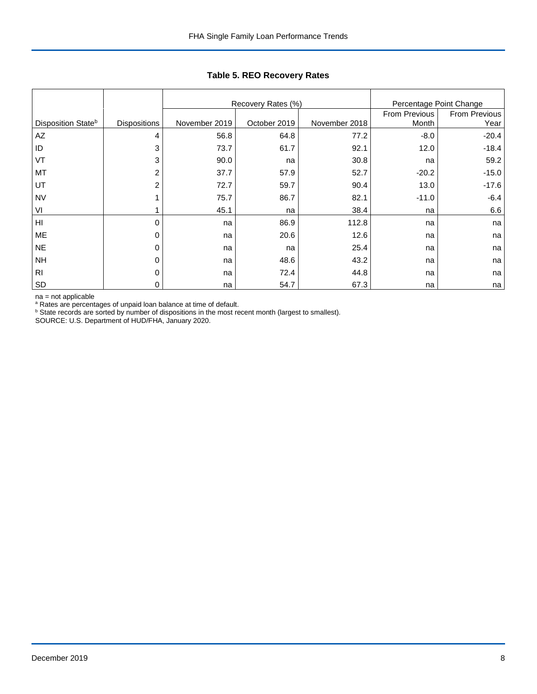|                        |                     |               | Recovery Rates (%) |               | Percentage Point Change |         |
|------------------------|---------------------|---------------|--------------------|---------------|-------------------------|---------|
|                        |                     |               |                    | From Previous | From Previous           |         |
| Disposition Stateb     | <b>Dispositions</b> | November 2019 | October 2019       | November 2018 | Month                   | Year    |
| $\mathsf{A}\mathsf{Z}$ | 4                   | 56.8          | 64.8               | 77.2          | $-8.0$                  | $-20.4$ |
| ID                     | 3                   | 73.7          | 61.7               | 92.1          | 12.0                    | $-18.4$ |
| VT                     | 3                   | 90.0          | na                 | 30.8          | na                      | 59.2    |
| MT                     | 2                   | 37.7          | 57.9               | 52.7          | $-20.2$                 | $-15.0$ |
| UT                     | 2                   | 72.7          | 59.7               | 90.4          | 13.0                    | $-17.6$ |
| <b>NV</b>              |                     | 75.7          | 86.7               | 82.1          | $-11.0$                 | $-6.4$  |
| VI                     |                     | 45.1          | na                 | 38.4          | na                      | 6.6     |
| H <sub>l</sub>         | 0                   | na            | 86.9               | 112.8         | na                      | na      |
| ME                     | 0                   | na            | 20.6               | 12.6          | na                      | na      |
| <b>NE</b>              | 0                   | na            | na                 | 25.4          | na                      | na      |
| <b>NH</b>              | 0                   | na            | 48.6               | 43.2          | na                      | na      |
| R <sub>l</sub>         | 0                   | na            | 72.4               | 44.8          | na                      | na      |
| SD                     | 0                   | na            | 54.7               | 67.3          | na                      | na      |

## **Table 5. REO Recovery Rates**

na = not applicable<br>ª Rates are percentages of unpaid loan balance at time of default.<br><sup>b</sup> State records are sorted by number of dispositions in the most recent month (largest to smallest).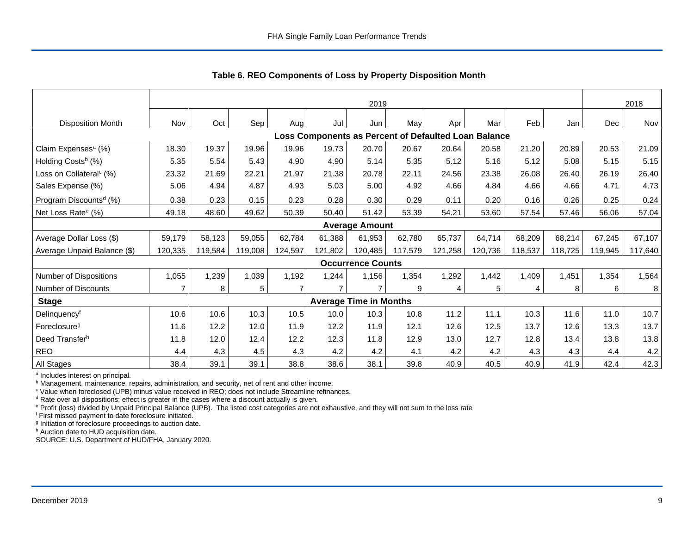|                                                      | 2019    |         |         |         |         |                               |         |         |         |         | 2018    |         |         |
|------------------------------------------------------|---------|---------|---------|---------|---------|-------------------------------|---------|---------|---------|---------|---------|---------|---------|
| <b>Disposition Month</b>                             | Nov     | Oct     | Sep     | Aug     | Jul     | Jun                           | May     | Apr     | Mar     | Feb     | Jan     | Dec     | Nov     |
| Loss Components as Percent of Defaulted Loan Balance |         |         |         |         |         |                               |         |         |         |         |         |         |         |
| Claim Expenses <sup>a</sup> (%)                      | 18.30   | 19.37   | 19.96   | 19.96   | 19.73   | 20.70                         | 20.67   | 20.64   | 20.58   | 21.20   | 20.89   | 20.53   | 21.09   |
| Holding Costs <sup>b</sup> (%)                       | 5.35    | 5.54    | 5.43    | 4.90    | 4.90    | 5.14                          | 5.35    | 5.12    | 5.16    | 5.12    | 5.08    | 5.15    | 5.15    |
| Loss on Collateral <sup>c</sup> (%)                  | 23.32   | 21.69   | 22.21   | 21.97   | 21.38   | 20.78                         | 22.11   | 24.56   | 23.38   | 26.08   | 26.40   | 26.19   | 26.40   |
| Sales Expense (%)                                    | 5.06    | 4.94    | 4.87    | 4.93    | 5.03    | 5.00                          | 4.92    | 4.66    | 4.84    | 4.66    | 4.66    | 4.71    | 4.73    |
| Program Discounts <sup>d</sup> (%)                   | 0.38    | 0.23    | 0.15    | 0.23    | 0.28    | 0.30                          | 0.29    | 0.11    | 0.20    | 0.16    | 0.26    | 0.25    | 0.24    |
| Net Loss Rate <sup>e</sup> (%)                       | 49.18   | 48.60   | 49.62   | 50.39   | 50.40   | 51.42                         | 53.39   | 54.21   | 53.60   | 57.54   | 57.46   | 56.06   | 57.04   |
|                                                      |         |         |         |         |         | <b>Average Amount</b>         |         |         |         |         |         |         |         |
| Average Dollar Loss (\$)                             | 59,179  | 58,123  | 59,055  | 62,784  | 61,388  | 61,953                        | 62,780  | 65,737  | 64,714  | 68,209  | 68,214  | 67,245  | 67,107  |
| Average Unpaid Balance (\$)                          | 120,335 | 119,584 | 119,008 | 124,597 | 121,802 | 120,485                       | 117,579 | 121,258 | 120,736 | 118,537 | 118,725 | 119,945 | 117,640 |
|                                                      |         |         |         |         |         | <b>Occurrence Counts</b>      |         |         |         |         |         |         |         |
| Number of Dispositions                               | 1,055   | ,239    | 1,039   | 1,192   | 1,244   | 1,156                         | 1,354   | 1,292   | 1,442   | 1,409   | 1,451   | 1,354   | 1,564   |
| Number of Discounts                                  |         | 8       | 5       |         |         |                               | 9       | 4       | 5       | 4       | 8       | 6       | 8       |
| <b>Stage</b>                                         |         |         |         |         |         | <b>Average Time in Months</b> |         |         |         |         |         |         |         |
| Delinquencyf                                         | 10.6    | 10.6    | 10.3    | 10.5    | 10.0    | 10.3                          | 10.8    | 11.2    | 11.1    | 10.3    | 11.6    | 11.0    | 10.7    |
| Foreclosure <sup>g</sup>                             | 11.6    | 12.2    | 12.0    | 11.9    | 12.2    | 11.9                          | 12.1    | 12.6    | 12.5    | 13.7    | 12.6    | 13.3    | 13.7    |
| Deed Transferh                                       | 11.8    | 12.0    | 12.4    | 12.2    | 12.3    | 11.8                          | 12.9    | 13.0    | 12.7    | 12.8    | 13.4    | 13.8    | 13.8    |
| <b>REO</b>                                           | 4.4     | 4.3     | 4.5     | 4.3     | 4.2     | 4.2                           | 4.1     | 4.2     | 4.2     | 4.3     | 4.3     | 4.4     | 4.2     |
| All Stages                                           | 38.4    | 39.1    | 39.1    | 38.8    | 38.6    | 38.1                          | 39.8    | 40.9    | 40.5    | 40.9    | 41.9    | 42.4    | 42.3    |

 **Table 6. REO Components of Loss by Property Disposition Month**

<sup>a</sup> Includes interest on principal.

<sup>b</sup> Management, maintenance, repairs, administration, and security, net of rent and other income.

c Value when foreclosed (UPB) minus value received in REO; does not include Streamline refinances.

<sup>d</sup> Rate over all dispositions; effect is greater in the cases where a discount actually is given.

e Profit (loss) divided by Unpaid Principal Balance (UPB). The listed cost categories are not exhaustive, and they will not sum to the loss rate

f First missed payment to date foreclosure initiated.

<sup>g</sup> Initiation of foreclosure proceedings to auction date.

h Auction date to HUD acquisition date.